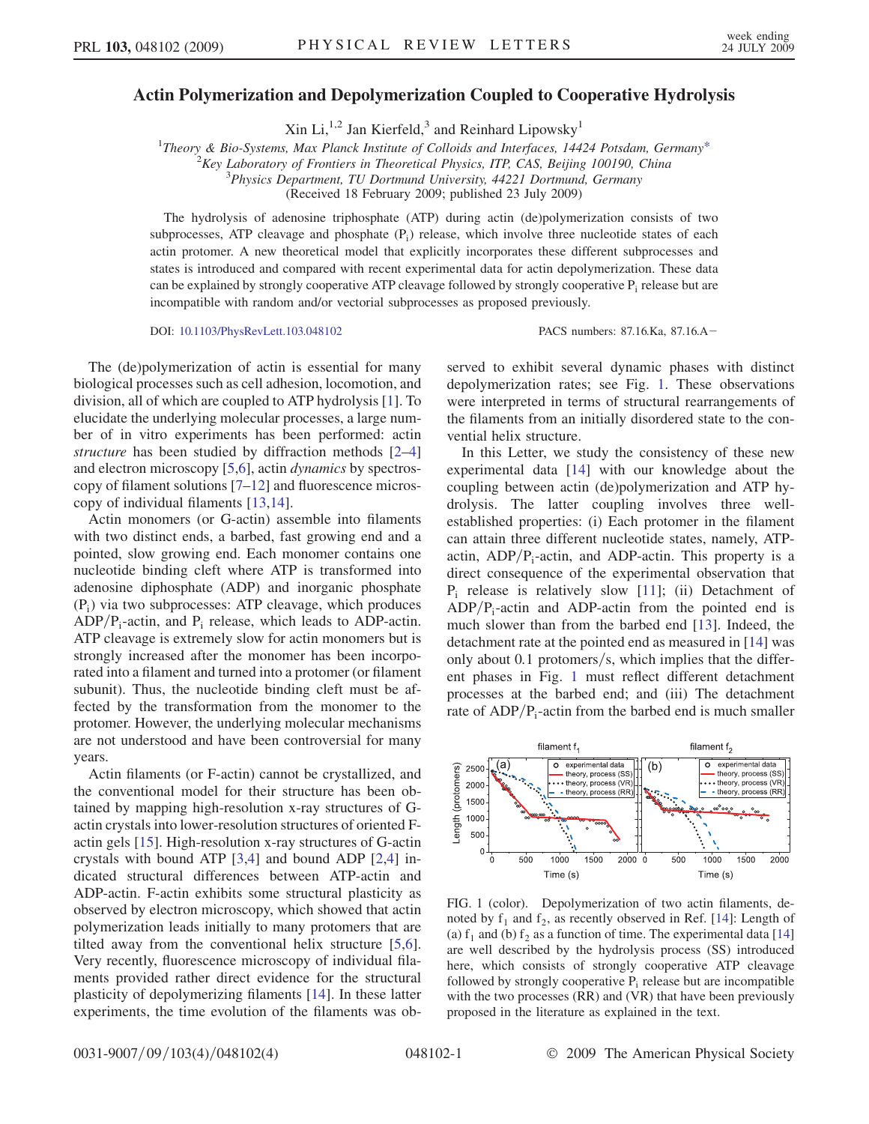## <span id="page-0-1"></span>Actin Polymerization and Depolymerization Coupled to Cooperative Hydrolysis

Xin Li,<sup>1,2</sup> Jan Kierfeld,<sup>3</sup> and Reinhard Lipowsky<sup>1</sup>

<sup>1</sup>Theory & Bio-Systems, Max Planck Institute of Colloids and Interfaces, 14424 Potsdam, Germany<sup>[\\*](#page-3-0)</sup><br><sup>2</sup>K<sub>a</sub>y Laboratory of Frontiers in Theoratical Physics, *ITP CAS Baijing 100100 China* 

 $k^2$ Key Laboratory of Frontiers in Theoretical Physics, ITP, CAS, Beijing 100190, China

 $P<sup>3</sup>P$ hysics Department, TU Dortmund University, 44221 Dortmund, Germany

(Received 18 February 2009; published 23 July 2009)

The hydrolysis of adenosine triphosphate (ATP) during actin (de)polymerization consists of two subprocesses, ATP cleavage and phosphate  $(P_i)$  release, which involve three nucleotide states of each actin protomer. A new theoretical model that explicitly incorporates these different subprocesses and states is introduced and compared with recent experimental data for actin depolymerization. These data can be explained by strongly cooperative ATP cleavage followed by strongly cooperative P<sub>i</sub> release but are incompatible with random and/or vectorial subprocesses as proposed previously.

DOI: [10.1103/PhysRevLett.103.048102](http://dx.doi.org/10.1103/PhysRevLett.103.048102) PACS numbers: 87.16.Ka, 87.16.A

The (de)polymerization of actin is essential for many biological processes such as cell adhesion, locomotion, and division, all of which are coupled to ATP hydrolysis [[1\]](#page-3-1). To elucidate the underlying molecular processes, a large number of in vitro experiments has been performed: actin structure has been studied by diffraction methods [[2](#page-3-2)[–4\]](#page-3-3) and electron microscopy [\[5,](#page-3-4)[6](#page-3-5)], actin dynamics by spectroscopy of filament solutions [\[7](#page-3-6)–[12\]](#page-3-7) and fluorescence microscopy of individual filaments [\[13](#page-3-8)[,14\]](#page-3-9).

Actin monomers (or G-actin) assemble into filaments with two distinct ends, a barbed, fast growing end and a pointed, slow growing end. Each monomer contains one nucleotide binding cleft where ATP is transformed into adenosine diphosphate (ADP) and inorganic phosphate  $(P_i)$  via two subprocesses: ATP cleavage, which produces  $ADP/P_i$ -actin, and  $P_i$  release, which leads to ADP-actin. ATP cleavage is extremely slow for actin monomers but is strongly increased after the monomer has been incorporated into a filament and turned into a protomer (or filament subunit). Thus, the nucleotide binding cleft must be affected by the transformation from the monomer to the protomer. However, the underlying molecular mechanisms are not understood and have been controversial for many years.

Actin filaments (or F-actin) cannot be crystallized, and the conventional model for their structure has been obtained by mapping high-resolution x-ray structures of Gactin crystals into lower-resolution structures of oriented Factin gels [\[15\]](#page-3-10). High-resolution x-ray structures of G-actin crystals with bound ATP [[3](#page-3-11),[4\]](#page-3-3) and bound ADP [[2](#page-3-2),[4\]](#page-3-3) indicated structural differences between ATP-actin and ADP-actin. F-actin exhibits some structural plasticity as observed by electron microscopy, which showed that actin polymerization leads initially to many protomers that are tilted away from the conventional helix structure [[5](#page-3-4),[6\]](#page-3-5). Very recently, fluorescence microscopy of individual filaments provided rather direct evidence for the structural plasticity of depolymerizing filaments [\[14\]](#page-3-9). In these latter experiments, the time evolution of the filaments was observed to exhibit several dynamic phases with distinct depolymerization rates; see Fig. [1.](#page-0-0) These observations were interpreted in terms of structural rearrangements of the filaments from an initially disordered state to the convential helix structure.

In this Letter, we study the consistency of these new experimental data [\[14\]](#page-3-9) with our knowledge about the coupling between actin (de)polymerization and ATP hydrolysis. The latter coupling involves three wellestablished properties: (i) Each protomer in the filament can attain three different nucleotide states, namely, ATPactin,  $ADP/P_i$ -actin, and  $ADP$ -actin. This property is a direct consequence of the experimental observation that  $P_i$  release is relatively slow [\[11\]](#page-3-12); (ii) Detachment of  $ADP/P_i$ -actin and ADP-actin from the pointed end is much slower than from the barbed end [[13](#page-3-8)]. Indeed, the detachment rate at the pointed end as measured in [[14](#page-3-9)] was only about 0.1 protomers/s, which implies that the different phases in Fig. [1](#page-0-0) must reflect different detachment processes at the barbed end; and (iii) The detachment rate of  $ADP/P_i$ -actin from the barbed end is much smaller

<span id="page-0-0"></span>

FIG. 1 (color). Depolymerization of two actin filaments, denoted by  $f_1$  and  $f_2$ , as recently observed in Ref. [\[14\]](#page-3-9): Length of (a)  $f_1$  and (b)  $f_2$  as a function of time. The experimental data [\[14\]](#page-3-9) are well described by the hydrolysis process (SS) introduced here, which consists of strongly cooperative ATP cleavage followed by strongly cooperative  $P_i$  release but are incompatible with the two processes (RR) and (VR) that have been previously proposed in the literature as explained in the text.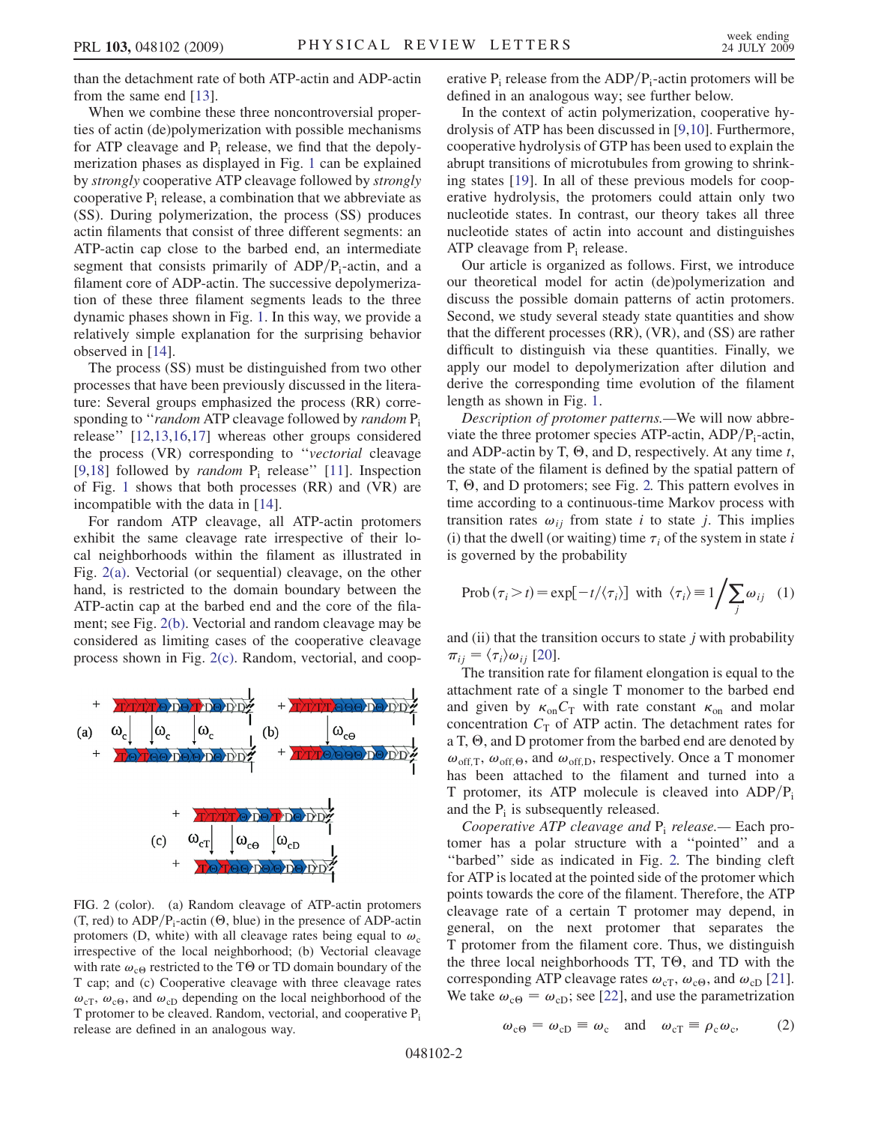than the detachment rate of both ATP-actin and ADP-actin from the same end [\[13\]](#page-3-8).

When we combine these three noncontroversial properties of actin (de)polymerization with possible mechanisms for ATP cleavage and  $P_i$  release, we find that the depolymerization phases as displayed in Fig. [1](#page-0-0) can be explained by strongly cooperative ATP cleavage followed by strongly cooperative  $P_i$  release, a combination that we abbreviate as (SS). During polymerization, the process (SS) produces actin filaments that consist of three different segments: an ATP-actin cap close to the barbed end, an intermediate segment that consists primarily of  $ADP/P_i$ -actin, and a filament core of ADP-actin. The successive depolymerization of these three filament segments leads to the three dynamic phases shown in Fig. [1](#page-0-0). In this way, we provide a relatively simple explanation for the surprising behavior observed in [\[14\]](#page-3-9).

The process (SS) must be distinguished from two other processes that have been previously discussed in the literature: Several groups emphasized the process (RR) corresponding to "random ATP cleavage followed by random  $P_i$ release'' [[12,](#page-3-7)[13](#page-3-8),[16](#page-3-13),[17](#page-3-14)] whereas other groups considered the process (VR) corresponding to ''vectorial cleavage [\[9,](#page-3-15)[18\]](#page-3-16) followed by *random*  $P_i$  release" [\[11\]](#page-3-12). Inspection of Fig. [1](#page-0-0) shows that both processes (RR) and (VR) are incompatible with the data in [\[14\]](#page-3-9).

For random ATP cleavage, all ATP-actin protomers exhibit the same cleavage rate irrespective of their local neighborhoods within the filament as illustrated in Fig. [2\(a\)](#page-1-0). Vectorial (or sequential) cleavage, on the other hand, is restricted to the domain boundary between the ATP-actin cap at the barbed end and the core of the filament; see Fig. [2\(b\)](#page-1-0). Vectorial and random cleavage may be considered as limiting cases of the cooperative cleavage process shown in Fig. [2\(c\).](#page-1-0) Random, vectorial, and coop-

<span id="page-1-1"></span>

<span id="page-1-0"></span>FIG. 2 (color). (a) Random cleavage of ATP-actin protomers (T, red) to  $ADP/P_i$ -actin ( $\Theta$ , blue) in the presence of ADP-actin protomers (D, white) with all cleavage rates being equal to  $\omega_c$ irrespective of the local neighborhood; (b) Vectorial cleavage with rate  $\omega_{c\Theta}$  restricted to the T $\Theta$  or TD domain boundary of the T cap; and (c) Cooperative cleavage with three cleavage rates  $\omega_{\rm cT}$ ,  $\omega_{\rm c\Theta}$ , and  $\omega_{\rm cD}$  depending on the local neighborhood of the T protomer to be cleaved. Random, vectorial, and cooperative  $P_i$ release are defined in an analogous way.

erative  $P_i$  release from the ADP/ $P_i$ -actin protomers will be defined in an analogous way; see further below.

In the context of actin polymerization, cooperative hydrolysis of ATP has been discussed in [\[9](#page-3-15)[,10\]](#page-3-17). Furthermore, cooperative hydrolysis of GTP has been used to explain the abrupt transitions of microtubules from growing to shrinking states [\[19\]](#page-3-18). In all of these previous models for cooperative hydrolysis, the protomers could attain only two nucleotide states. In contrast, our theory takes all three nucleotide states of actin into account and distinguishes ATP cleavage from  $P_i$  release.

Our article is organized as follows. First, we introduce our theoretical model for actin (de)polymerization and discuss the possible domain patterns of actin protomers. Second, we study several steady state quantities and show that the different processes (RR), (VR), and (SS) are rather difficult to distinguish via these quantities. Finally, we apply our model to depolymerization after dilution and derive the corresponding time evolution of the filament length as shown in Fig. [1](#page-0-0).

Description of protomer patterns.—We will now abbreviate the three protomer species ATP-actin,  $ADP/P_i$ -actin, and ADP-actin by T,  $\Theta$ , and D, respectively. At any time t, the state of the filament is defined by the spatial pattern of T,  $\Theta$ , and D protomers; see Fig. [2.](#page-1-1) This pattern evolves in time according to a continuous-time Markov process with transition rates  $\omega_{ij}$  from state i to state j. This implies (i) that the dwell (or waiting) time  $\tau_i$  of the system in state i is governed by the probability

$$
\text{Prob}\left(\tau_{i} > t\right) = \exp[-t/\langle \tau_{i} \rangle] \quad \text{with} \quad \langle \tau_{i} \rangle \equiv 1 / \sum_{j} \omega_{ij} \quad (1)
$$

and (ii) that the transition occurs to state  $j$  with probability  $\pi_{ij} = \langle \tau_i \rangle \omega_{ij}$  [[20](#page-3-19)].

The transition rate for filament elongation is equal to the attachment rate of a single T monomer to the barbed end and given by  $\kappa_{\text{on}} C_{\text{T}}$  with rate constant  $\kappa_{\text{on}}$  and molar concentration  $C_T$  of ATP actin. The detachment rates for a T,  $\Theta$ , and D protomer from the barbed end are denoted by  $\omega_{\text{off},T}$ ,  $\omega_{\text{off},\Theta}$ , and  $\omega_{\text{off},D}$ , respectively. Once a T monomer has been attached to the filament and turned into a T protomer, its ATP molecule is cleaved into  $ADP/P_i$ and the  $P_i$  is subsequently released.

Cooperative ATP cleavage and  $P_i$  release.— Each protomer has a polar structure with a ''pointed'' and a ''barbed'' side as indicated in Fig. [2.](#page-1-1) The binding cleft for ATP is located at the pointed side of the protomer which points towards the core of the filament. Therefore, the ATP cleavage rate of a certain T protomer may depend, in general, on the next protomer that separates the T protomer from the filament core. Thus, we distinguish the three local neighborhoods  $TT$ ,  $T\Theta$ , and  $TD$  with the corresponding ATP cleavage rates  $\omega_{\text{cT}}$ ,  $\omega_{\text{c}\Theta}$ , and  $\omega_{\text{cD}}$  [[21\]](#page-3-20). We take  $\omega_{\rm c\Theta} = \omega_{\rm cD}$ ; see [[22](#page-3-21)], and use the parametrization

<span id="page-1-2"></span>
$$
\omega_{\rm c\Theta} = \omega_{\rm cD} \equiv \omega_{\rm c} \quad \text{and} \quad \omega_{\rm cT} \equiv \rho_{\rm c}\omega_{\rm c}, \tag{2}
$$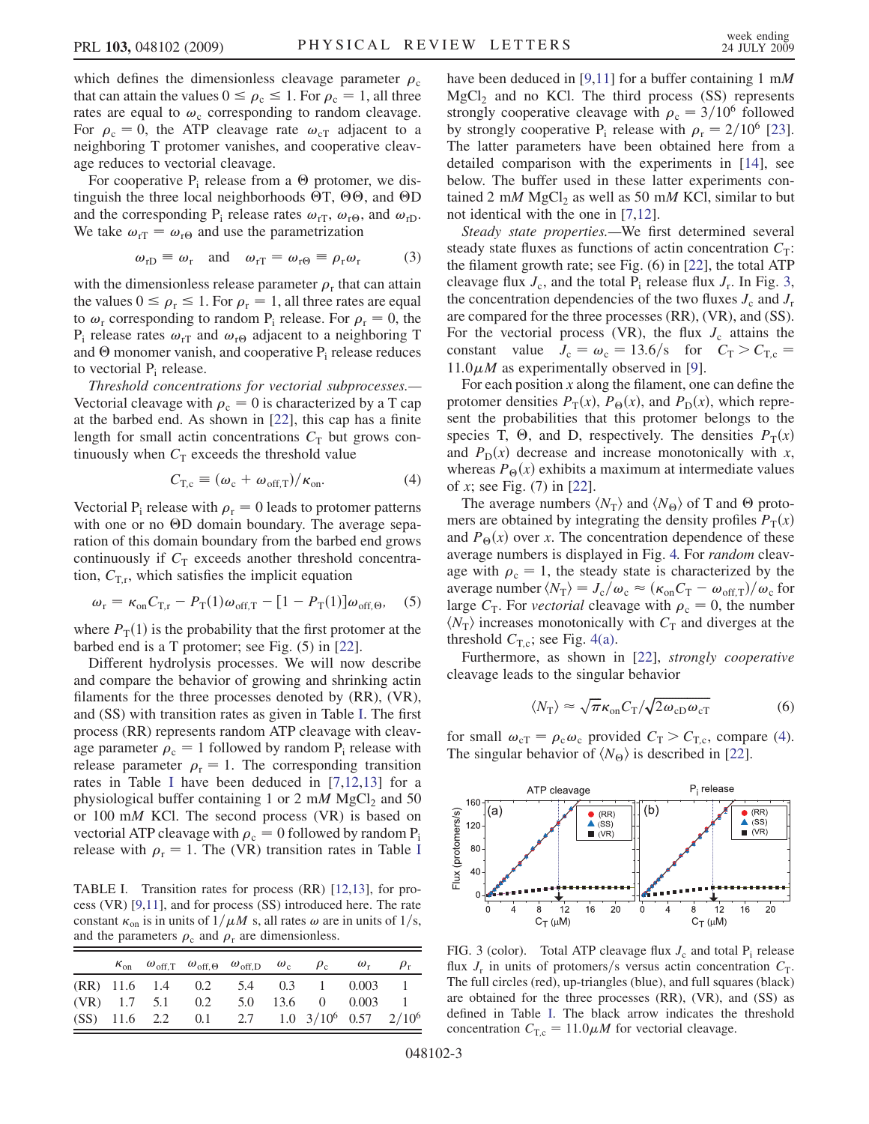which defines the dimensionless cleavage parameter  $\rho_c$ that can attain the values  $0 \le \rho_c \le 1$ . For  $\rho_c = 1$ , all three rates are equal to  $\omega_c$  corresponding to random cleavage. For  $\rho_c = 0$ , the ATP cleavage rate  $\omega_{cT}$  adjacent to a neighboring T protomer vanishes, and cooperative cleavage reduces to vectorial cleavage.

For cooperative  $P_i$  release from a  $\Theta$  protomer, we distinguish the three local neighborhoods  $\Theta T$ ,  $\Theta \Theta$ , and  $\Theta D$ and the corresponding P<sub>i</sub> release rates  $\omega_{rT}$ ,  $\omega_{r\Theta}$ , and  $\omega_{rD}$ . We take  $\omega_{\text{rT}} = \omega_{\text{r}\Theta}$  and use the parametrization

$$
\omega_{rD} \equiv \omega_r
$$
 and  $\omega_{rT} = \omega_{r\Theta} \equiv \rho_r \omega_r$  (3)

<span id="page-2-3"></span>with the dimensionless release parameter  $\rho_r$  that can attain the values  $0 \le \rho_r \le 1$ . For  $\rho_r = 1$ , all three rates are equal to  $\omega_r$  corresponding to random P<sub>i</sub> release. For  $\rho_r = 0$ , the  $P_i$  release rates  $\omega_{rT}$  and  $\omega_{r\Theta}$  adjacent to a neighboring T and  $\Theta$  monomer vanish, and cooperative P<sub>i</sub> release reduces to vectorial Pi release.

Threshold concentrations for vectorial subprocesses.— Vectorial cleavage with  $\rho_c = 0$  is characterized by a T cap at the barbed end. As shown in [\[22\]](#page-3-21), this cap has a finite length for small actin concentrations  $C_T$  but grows continuously when  $C_T$  exceeds the threshold value

$$
C_{\text{T,c}} \equiv (\omega_{\text{c}} + \omega_{\text{off,T}}) / \kappa_{\text{on}}.
$$
 (4)

<span id="page-2-2"></span>Vectorial P<sub>i</sub> release with  $\rho_r = 0$  leads to protomer patterns with one or no  $\Theta$ D domain boundary. The average separation of this domain boundary from the barbed end grows continuously if  $C_T$  exceeds another threshold concentration,  $C_{T,r}$ , which satisfies the implicit equation

$$
\omega_{\rm r} = \kappa_{\rm on} C_{\rm T,r} - P_{\rm T}(1)\omega_{\rm off,T} - [1 - P_{\rm T}(1)]\omega_{\rm off, \Theta}, \quad (5)
$$

where  $P_T(1)$  is the probability that the first protomer at the barbed end is a T protomer; see Fig. (5) in [\[22\]](#page-3-21).

Different hydrolysis processes. We will now describe and compare the behavior of growing and shrinking actin filaments for the three processes denoted by (RR), (VR), and (SS) with transition rates as given in Table [I](#page-2-0). The first process (RR) represents random ATP cleavage with cleavage parameter  $\rho_c = 1$  followed by random P<sub>i</sub> release with release parameter  $\rho_r = 1$ . The corresponding transition rates in Table [I](#page-2-0) have been deduced in [[7,](#page-3-6)[12](#page-3-7),[13](#page-3-8)] for a physiological buffer containing 1 or 2 mM MgCl<sub>2</sub> and 50 or 100 m<sup>M</sup> KCl. The second process (VR) is based on vectorial ATP cleavage with  $\rho_c = 0$  followed by random P<sub>i</sub> release with  $\rho_r = 1$ . The (VR) transition rates in Table [I](#page-2-0)

<span id="page-2-0"></span>TABLE I. Transition rates for process (RR) [\[12,](#page-3-7)[13](#page-3-8)], for process (VR) [[9](#page-3-15),[11](#page-3-12)], and for process (SS) introduced here. The rate constant  $\kappa_{\rm on}$  is in units of  $1/\mu M$  s, all rates  $\omega$  are in units of 1/s, and the parameters  $\rho_c$  and  $\rho_r$  are dimensionless.

|  | $\kappa_{\text{on}}$ $\omega_{\text{off.T}}$ $\omega_{\text{off.}\Theta}$ $\omega_{\text{off.D}}$ $\omega_{\text{c}}$ $\rho_{\text{c}}$ |  |                    | $\omega_{\rm r}$ |  |
|--|-----------------------------------------------------------------------------------------------------------------------------------------|--|--------------------|------------------|--|
|  | (RR) 11.6 1.4 0.2 5.4 0.3 1 0.003 1                                                                                                     |  |                    |                  |  |
|  | $(VR)$ 1.7 5.1 0.2                                                                                                                      |  | 5.0 13.6 0 0.003 1 |                  |  |
|  | (SS) 11.6 2.2 0.1 2.7 1.0 $3/10^6$ 0.57 $2/10^6$                                                                                        |  |                    |                  |  |

have been deduced in [[9](#page-3-15),[11](#page-3-12)] for a buffer containing 1 mM  $MgCl<sub>2</sub>$  and no KCl. The third process (SS) represents strongly cooperative cleavage with  $\rho_c = 3/10^6$  followed by strongly cooperative P<sub>i</sub> release with  $\rho_r = 2/10^6$  [[23\]](#page-3-22). The latter parameters have been obtained here from a detailed comparison with the experiments in [[14](#page-3-9)], see below. The buffer used in these latter experiments contained 2 mM MgCl<sub>2</sub> as well as 50 mM KCl, similar to but not identical with the one in [\[7](#page-3-6),[12](#page-3-7)].

Steady state properties.—We first determined several steady state fluxes as functions of actin concentration  $C_T$ : the filament growth rate; see Fig. (6) in [\[22\]](#page-3-21), the total ATP cleavage flux  $J_c$ , and the total  $P_i$  release flux  $J_r$ . In Fig. [3](#page-2-1), the concentration dependencies of the two fluxes  $J_c$  and  $J_r$ are compared for the three processes (RR), (VR), and (SS). For the vectorial process (VR), the flux  $J_c$  attains the constant value  $J_c = \omega_c = 13.6/s$  for  $C_T > C_{T,c}$  $11.0\mu M$  as experimentally observed in [[9](#page-3-15)].

For each position  $x$  along the filament, one can define the protomer densities  $P_T(x)$ ,  $P_{\Theta}(x)$ , and  $P_D(x)$ , which represent the probabilities that this protomer belongs to the species T,  $\Theta$ , and D, respectively. The densities  $P_T(x)$ and  $P_D(x)$  decrease and increase monotonically with x, whereas  $P_{\Theta}(x)$  exhibits a maximum at intermediate values of x; see Fig.  $(7)$  in [[22](#page-3-21)].

The average numbers  $\langle N_{\text{T}} \rangle$  and  $\langle N_{\Theta} \rangle$  of T and  $\Theta$  protomers are obtained by integrating the density profiles  $P_T(x)$ and  $P_{\Theta}(x)$  over x. The concentration dependence of these average numbers is displayed in Fig. [4.](#page-3-23) For random cleavage with  $\rho_c = 1$ , the steady state is characterized by the average number  $\langle N_T \rangle = J_c/\omega_c \approx (\kappa_{on}C_T - \omega_{off,T})/\omega_c$  for large  $C_T$ . For *vectorial* cleavage with  $\rho_c = 0$ , the number  $\langle N_{\rm T} \rangle$  increases monotonically with  $C_{\rm T}$  and diverges at the threshold  $C_{T,c}$ ; see Fig. [4\(a\)](#page-3-24).

Furthermore, as shown in [\[22\]](#page-3-21), strongly cooperative cleavage leads to the singular behavior

$$
\langle N_{\rm T} \rangle \approx \sqrt{\pi} \kappa_{\rm on} C_{\rm T} / \sqrt{2 \omega_{\rm cD} \omega_{\rm cT}}
$$
 (6)

for small  $\omega_{cT} = \rho_c \omega_c$  provided  $C_T > C_{T,c}$ , compare ([4\)](#page-2-2). The singular behavior of  $\langle N_{\Theta} \rangle$  is described in [\[22\]](#page-3-21).

<span id="page-2-1"></span>

FIG. 3 (color). Total ATP cleavage flux  $J_c$  and total  $P_i$  release flux  $J_r$  in units of protomers/s versus actin concentration  $C_T$ . The full circles (red), up-triangles (blue), and full squares (black) are obtained for the three processes (RR), (VR), and (SS) as defined in Table [I](#page-2-0). The black arrow indicates the threshold concentration  $C_{T,c} = 11.0 \mu M$  for vectorial cleavage.